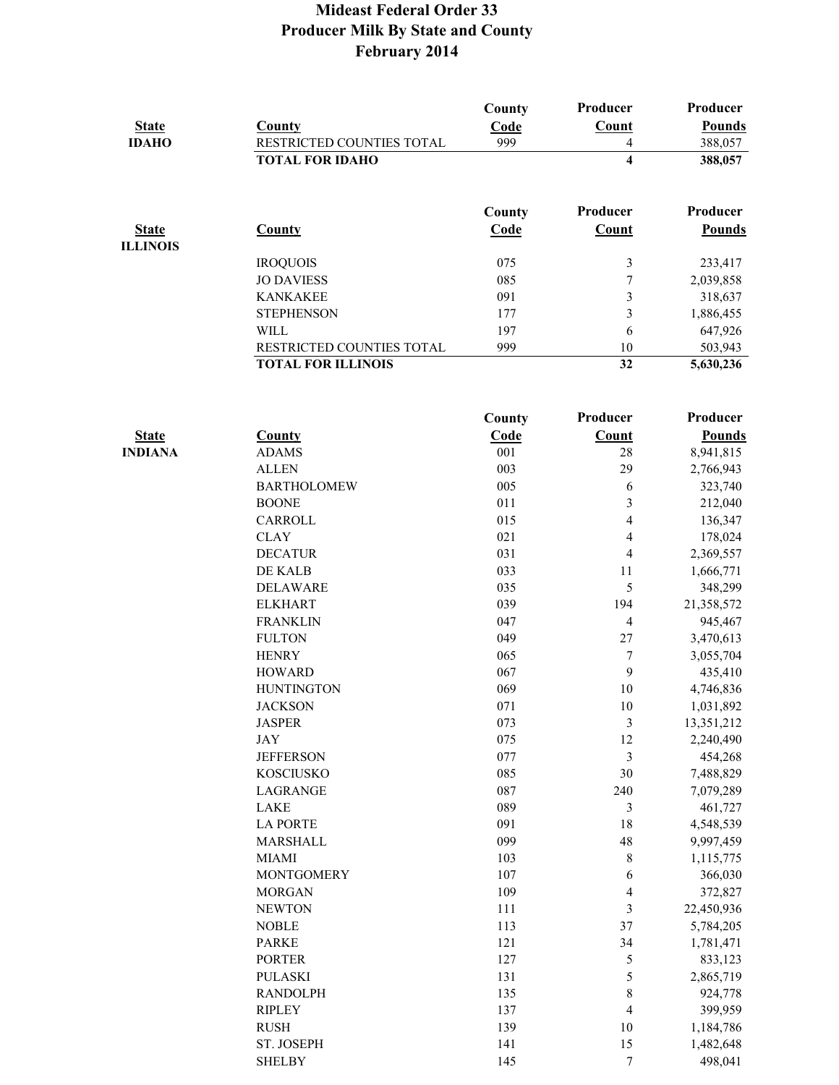| <b>State</b><br><b>IDAHO</b>    | County<br>RESTRICTED COUNTIES TOTAL | County<br>Code<br>999 | Producer<br>Count<br>$\overline{4}$ | Producer<br><b>Pounds</b><br>388,057 |
|---------------------------------|-------------------------------------|-----------------------|-------------------------------------|--------------------------------------|
|                                 | <b>TOTAL FOR IDAHO</b>              |                       | $\overline{\mathbf{4}}$             | 388,057                              |
|                                 |                                     | County                | Producer                            | Producer                             |
| <b>State</b><br><b>ILLINOIS</b> | County                              | Code                  | Count                               | <b>Pounds</b>                        |
|                                 | <b>IROQUOIS</b>                     | 075                   | $\mathfrak{Z}$                      | 233,417                              |
|                                 | <b>JO DAVIESS</b>                   | 085                   | $\boldsymbol{7}$                    | 2,039,858                            |
|                                 | <b>KANKAKEE</b>                     | 091                   | $\overline{\mathbf{3}}$             | 318,637                              |
|                                 | <b>STEPHENSON</b>                   | 177                   | 3                                   | 1,886,455                            |
|                                 | <b>WILL</b>                         | 197                   | 6                                   | 647,926                              |
|                                 | RESTRICTED COUNTIES TOTAL           | 999                   | 10                                  | 503,943                              |
|                                 | <b>TOTAL FOR ILLINOIS</b>           |                       | $\overline{32}$                     | 5,630,236                            |
|                                 |                                     |                       |                                     |                                      |
|                                 |                                     | County                | Producer                            | Producer                             |
| <b>State</b>                    | <b>County</b>                       | Code                  | Count                               | <b>Pounds</b>                        |
| <b>INDIANA</b>                  | <b>ADAMS</b>                        | 001                   | 28                                  | 8,941,815                            |
|                                 | <b>ALLEN</b>                        | 003                   | 29                                  | 2,766,943                            |
|                                 | <b>BARTHOLOMEW</b>                  | 005                   | 6                                   | 323,740                              |
|                                 | <b>BOONE</b>                        | 011                   | $\overline{\mathbf{3}}$             | 212,040                              |
|                                 | CARROLL                             | 015                   | 4                                   | 136,347                              |
|                                 | <b>CLAY</b>                         | 021                   | $\overline{4}$                      | 178,024                              |
|                                 | <b>DECATUR</b>                      | 031                   | $\overline{4}$                      | 2,369,557                            |
|                                 | DE KALB                             | 033                   | 11                                  | 1,666,771                            |
|                                 | <b>DELAWARE</b>                     | 035                   | 5                                   | 348,299                              |
|                                 | <b>ELKHART</b>                      | 039                   | 194                                 | 21,358,572                           |
|                                 | <b>FRANKLIN</b>                     | 047                   | $\overline{4}$                      | 945,467                              |
|                                 | <b>FULTON</b>                       | 049                   | 27                                  | 3,470,613                            |
|                                 | <b>HENRY</b>                        | 065                   | $\boldsymbol{7}$                    | 3,055,704                            |
|                                 | <b>HOWARD</b>                       | 067                   | 9                                   | 435,410                              |
|                                 | <b>HUNTINGTON</b>                   | 069                   | 10                                  | 4,746,836                            |
|                                 | <b>IACKSON</b>                      | 071                   | 10                                  | 1.031.892                            |

| <b>FULTON</b>     | 049 | 27             | 3,470,613  |
|-------------------|-----|----------------|------------|
| <b>HENRY</b>      | 065 | $\overline{7}$ | 3,055,704  |
| <b>HOWARD</b>     | 067 | 9              | 435,410    |
| <b>HUNTINGTON</b> | 069 | 10             | 4,746,836  |
| <b>JACKSON</b>    | 071 | 10             | 1,031,892  |
| <b>JASPER</b>     | 073 | 3              | 13,351,212 |
| JAY               | 075 | 12             | 2,240,490  |
| <b>JEFFERSON</b>  | 077 | 3              | 454,268    |
| <b>KOSCIUSKO</b>  | 085 | 30             | 7,488,829  |
| LAGRANGE          | 087 | 240            | 7,079,289  |
| <b>LAKE</b>       | 089 | 3              | 461,727    |
| <b>LA PORTE</b>   | 091 | 18             | 4,548,539  |
| MARSHALL          | 099 | 48             | 9,997,459  |
| <b>MIAMI</b>      | 103 | 8              | 1,115,775  |
| <b>MONTGOMERY</b> | 107 | 6              | 366,030    |
| <b>MORGAN</b>     | 109 | $\overline{4}$ | 372,827    |
| <b>NEWTON</b>     | 111 | 3              | 22,450,936 |
| <b>NOBLE</b>      | 113 | 37             | 5,784,205  |
| <b>PARKE</b>      | 121 | 34             | 1,781,471  |
| <b>PORTER</b>     | 127 | 5              | 833,123    |
| <b>PULASKI</b>    | 131 | 5              | 2,865,719  |
| <b>RANDOLPH</b>   | 135 | 8              | 924,778    |
| <b>RIPLEY</b>     | 137 | $\overline{4}$ | 399,959    |
| <b>RUSH</b>       | 139 | 10             | 1,184,786  |
| ST. JOSEPH        | 141 | 15             | 1,482,648  |
| <b>SHELBY</b>     | 145 | 7              | 498,041    |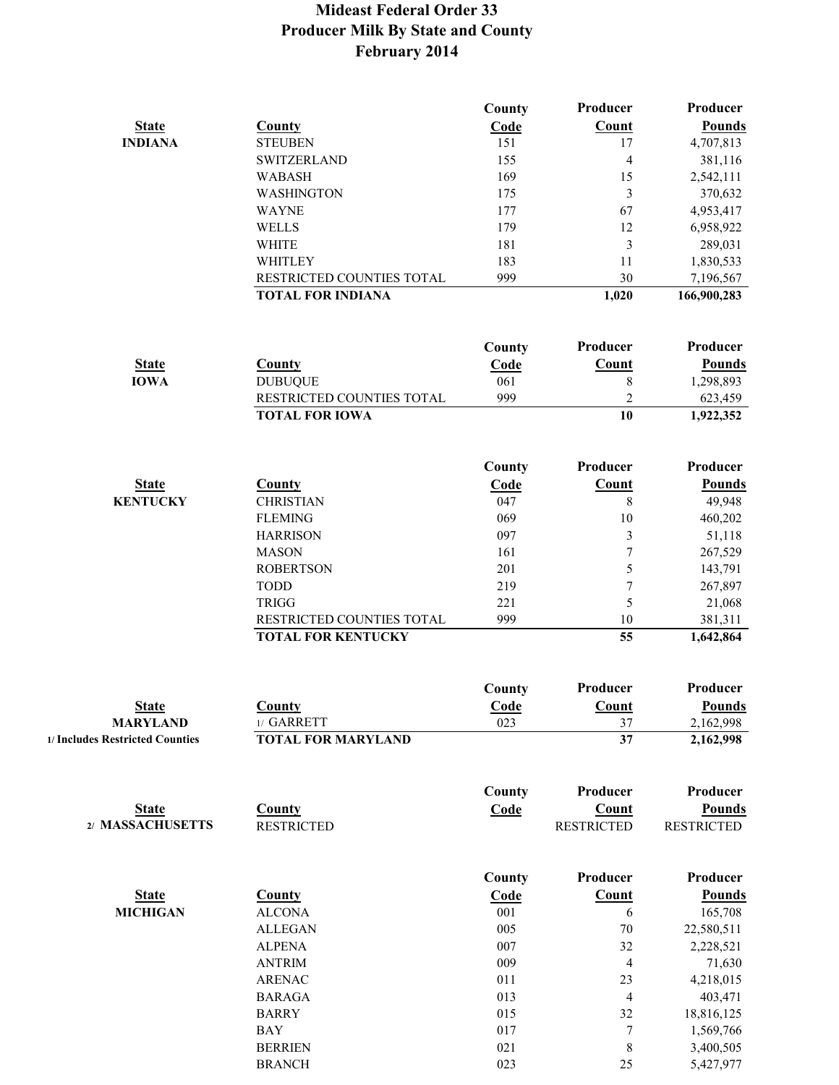|                                 |                           | County      | Producer                 | Producer          |
|---------------------------------|---------------------------|-------------|--------------------------|-------------------|
| <b>State</b>                    | <b>County</b>             | Code        | Count                    | <b>Pounds</b>     |
| <b>INDIANA</b>                  | <b>STEUBEN</b>            | 151         | 17                       | 4,707,813         |
|                                 | <b>SWITZERLAND</b>        | 155         | $\overline{\mathcal{A}}$ | 381,116           |
|                                 | <b>WABASH</b>             | 169         | 15                       | 2,542,111         |
|                                 | WASHINGTON                | 175         | $\overline{3}$           | 370,632           |
|                                 | <b>WAYNE</b>              | 177         | 67                       | 4,953,417         |
|                                 |                           |             |                          |                   |
|                                 | <b>WELLS</b>              | 179         | 12                       | 6,958,922         |
|                                 | <b>WHITE</b>              | 181         | $\overline{3}$           | 289,031           |
|                                 | WHITLEY                   | 183         | 11                       | 1,830,533         |
|                                 | RESTRICTED COUNTIES TOTAL | 999         | 30                       | 7,196,567         |
|                                 | <b>TOTAL FOR INDIANA</b>  |             | 1,020                    | 166,900,283       |
|                                 |                           |             |                          |                   |
|                                 |                           | County      | Producer                 | Producer          |
| <b>State</b>                    | County                    | Code        | Count                    | <b>Pounds</b>     |
| <b>IOWA</b>                     | <b>DUBUQUE</b>            | 061         | $\,8\,$                  | 1,298,893         |
|                                 | RESTRICTED COUNTIES TOTAL | 999         | $\overline{c}$           | 623,459           |
|                                 | <b>TOTAL FOR IOWA</b>     |             | 10                       | 1,922,352         |
|                                 |                           |             |                          |                   |
|                                 |                           | County      | Producer                 | Producer          |
| <b>State</b>                    | <b>County</b>             | Code        | Count                    | <b>Pounds</b>     |
| <b>KENTUCKY</b>                 | <b>CHRISTIAN</b>          | 047         | 8                        | 49,948            |
|                                 | <b>FLEMING</b>            | 069         | 10                       | 460,202           |
|                                 | <b>HARRISON</b>           | 097         | $\mathfrak{Z}$           | 51,118            |
|                                 |                           |             |                          |                   |
|                                 | <b>MASON</b>              | 161         | $\boldsymbol{7}$         | 267,529           |
|                                 | <b>ROBERTSON</b>          | 201         | 5                        | 143,791           |
|                                 | <b>TODD</b>               | 219         | $\boldsymbol{7}$         | 267,897           |
|                                 | <b>TRIGG</b>              | 221         | 5                        | 21,068            |
|                                 | RESTRICTED COUNTIES TOTAL | 999         | 10                       | 381,311           |
|                                 | <b>TOTAL FOR KENTUCKY</b> |             | 55                       | 1,642,864         |
|                                 |                           |             |                          |                   |
|                                 |                           | County      | Producer                 | Producer          |
| <b>State</b>                    | County                    | Code        | Count                    | <b>Pounds</b>     |
| <b>MARYLAND</b>                 | 1/ GARRETT                | 023         | 37                       | 2,162,998         |
| 1/ Includes Restricted Counties | <b>TOTAL FOR MARYLAND</b> |             | 37                       | 2,162,998         |
|                                 |                           |             |                          |                   |
|                                 |                           | County      | Producer                 | Producer          |
| <b>State</b>                    | County                    | Code        | Count                    | <b>Pounds</b>     |
| 2/ MASSACHUSETTS                | <b>RESTRICTED</b>         |             | <b>RESTRICTED</b>        | <b>RESTRICTED</b> |
|                                 |                           |             |                          |                   |
|                                 |                           | County      | Producer                 | Producer          |
| <b>State</b>                    | <b>County</b>             | <b>Code</b> | Count                    | <b>Pounds</b>     |
| <b>MICHIGAN</b>                 | <b>ALCONA</b>             | 001         | 6                        | 165,708           |
|                                 | <b>ALLEGAN</b>            | 005         | $70\,$                   | 22,580,511        |
|                                 | <b>ALPENA</b>             | 007         | 32                       | 2,228,521         |
|                                 | <b>ANTRIM</b>             | 009         | $\overline{4}$           | 71,630            |
|                                 | <b>ARENAC</b>             | 011         | 23                       | 4,218,015         |
|                                 |                           |             |                          |                   |
|                                 | <b>BARAGA</b>             | 013         | $\overline{4}$           | 403,471           |
|                                 | <b>BARRY</b>              | 015         | 32                       | 18,816,125        |
|                                 | <b>BAY</b>                | 017         | 7                        | 1,569,766         |
|                                 | <b>BERRIEN</b>            | 021         | $\,8\,$                  | 3,400,505         |
|                                 | <b>BRANCH</b>             | 023         | 25                       | 5,427,977         |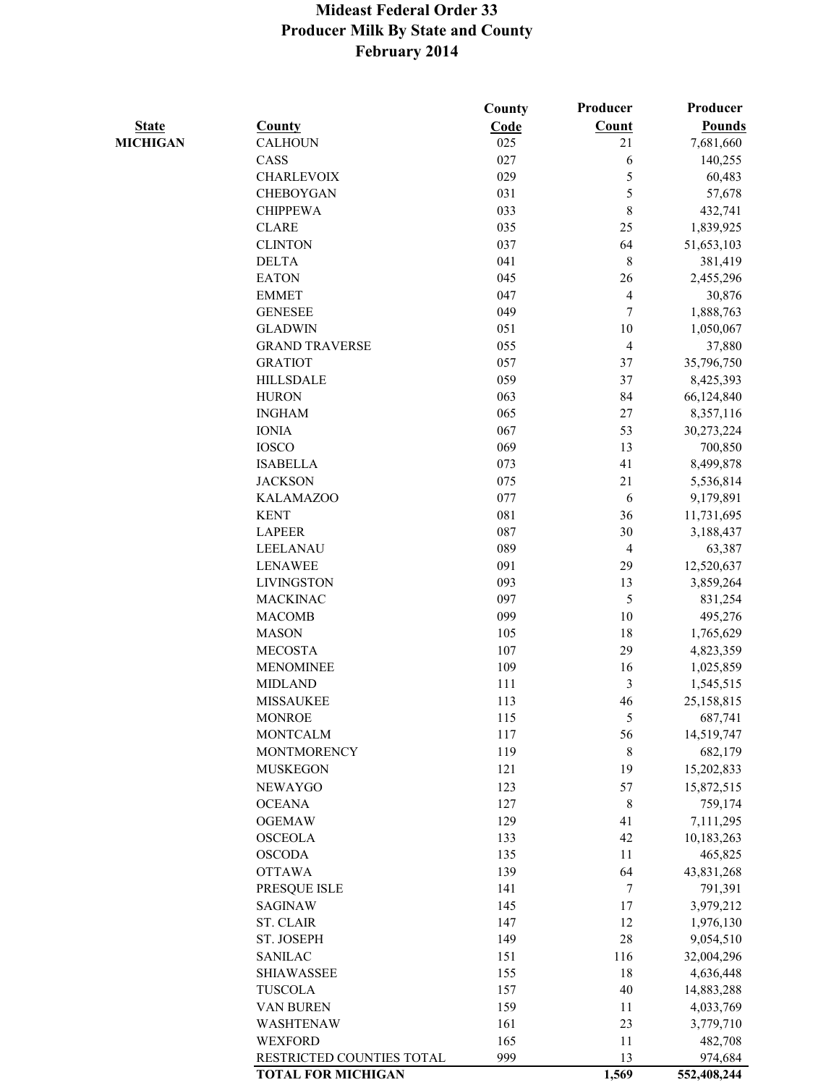|                 |                           | County | Producer       | Producer      |
|-----------------|---------------------------|--------|----------------|---------------|
| <b>State</b>    | <b>County</b>             | Code   | Count          | <b>Pounds</b> |
| <b>MICHIGAN</b> | <b>CALHOUN</b>            | 025    | 21             | 7,681,660     |
|                 | CASS                      | 027    | 6              | 140,255       |
|                 | <b>CHARLEVOIX</b>         | 029    | 5              | 60,483        |
|                 | <b>CHEBOYGAN</b>          | 031    | 5              | 57,678        |
|                 | <b>CHIPPEWA</b>           | 033    | 8              | 432,741       |
|                 | <b>CLARE</b>              | 035    | 25             | 1,839,925     |
|                 | <b>CLINTON</b>            | 037    | 64             | 51,653,103    |
|                 | <b>DELTA</b>              | 041    | $\,$ 8 $\,$    | 381,419       |
|                 | <b>EATON</b>              | 045    | 26             | 2,455,296     |
|                 | <b>EMMET</b>              | 047    | $\overline{4}$ | 30,876        |
|                 | <b>GENESEE</b>            | 049    | 7              | 1,888,763     |
|                 | <b>GLADWIN</b>            | 051    | 10             | 1,050,067     |
|                 | <b>GRAND TRAVERSE</b>     | 055    | $\overline{4}$ | 37,880        |
|                 | <b>GRATIOT</b>            | 057    | 37             | 35,796,750    |
|                 | <b>HILLSDALE</b>          | 059    | 37             | 8,425,393     |
|                 | <b>HURON</b>              | 063    | 84             | 66,124,840    |
|                 | <b>INGHAM</b>             | 065    | $27\,$         | 8,357,116     |
|                 | <b>IONIA</b>              | 067    | 53             | 30,273,224    |
|                 | <b>IOSCO</b>              | 069    | 13             | 700,850       |
|                 | <b>ISABELLA</b>           | 073    | 41             | 8,499,878     |
|                 | <b>JACKSON</b>            | 075    | 21             |               |
|                 |                           |        |                | 5,536,814     |
|                 | <b>KALAMAZOO</b>          | 077    | 6              | 9,179,891     |
|                 | <b>KENT</b>               | 081    | 36             | 11,731,695    |
|                 | <b>LAPEER</b>             | 087    | 30             | 3,188,437     |
|                 | LEELANAU                  | 089    | $\overline{4}$ | 63,387        |
|                 | <b>LENAWEE</b>            | 091    | 29             | 12,520,637    |
|                 | <b>LIVINGSTON</b>         | 093    | 13             | 3,859,264     |
|                 | <b>MACKINAC</b>           | 097    | 5              | 831,254       |
|                 | <b>MACOMB</b>             | 099    | 10             | 495,276       |
|                 | <b>MASON</b>              | 105    | 18             | 1,765,629     |
|                 | <b>MECOSTA</b>            | 107    | 29             | 4,823,359     |
|                 | <b>MENOMINEE</b>          | 109    | 16             | 1,025,859     |
|                 | <b>MIDLAND</b>            | 111    | 3              | 1,545,515     |
|                 | <b>MISSAUKEE</b>          | 113    | 46             | 25,158,815    |
|                 | <b>MONROE</b>             | 115    | 5              | 687,741       |
|                 | <b>MONTCALM</b>           | 117    | 56             | 14,519,747    |
|                 | <b>MONTMORENCY</b>        | 119    | 8              | 682,179       |
|                 | <b>MUSKEGON</b>           | 121    | 19             | 15,202,833    |
|                 | <b>NEWAYGO</b>            | 123    | 57             | 15,872,515    |
|                 | <b>OCEANA</b>             | 127    | 8              | 759,174       |
|                 | <b>OGEMAW</b>             | 129    | 41             | 7,111,295     |
|                 | <b>OSCEOLA</b>            | 133    | 42             | 10,183,263    |
|                 | <b>OSCODA</b>             | 135    | 11             | 465,825       |
|                 | <b>OTTAWA</b>             | 139    | 64             | 43,831,268    |
|                 | PRESQUE ISLE              | 141    | $\tau$         | 791,391       |
|                 | <b>SAGINAW</b>            | 145    | 17             | 3,979,212     |
|                 | <b>ST. CLAIR</b>          | 147    | 12             | 1,976,130     |
|                 | ST. JOSEPH                | 149    | 28             | 9,054,510     |
|                 | <b>SANILAC</b>            | 151    | 116            | 32,004,296    |
|                 | <b>SHIAWASSEE</b>         | 155    | 18             | 4,636,448     |
|                 | <b>TUSCOLA</b>            | 157    | 40             | 14,883,288    |
|                 | VAN BUREN                 | 159    | 11             | 4,033,769     |
|                 | WASHTENAW                 | 161    | 23             | 3,779,710     |
|                 | <b>WEXFORD</b>            | 165    | 11             | 482,708       |
|                 | RESTRICTED COUNTIES TOTAL | 999    | 13             | 974,684       |
|                 | <b>TOTAL FOR MICHIGAN</b> |        | 1,569          | 552,408,244   |
|                 |                           |        |                |               |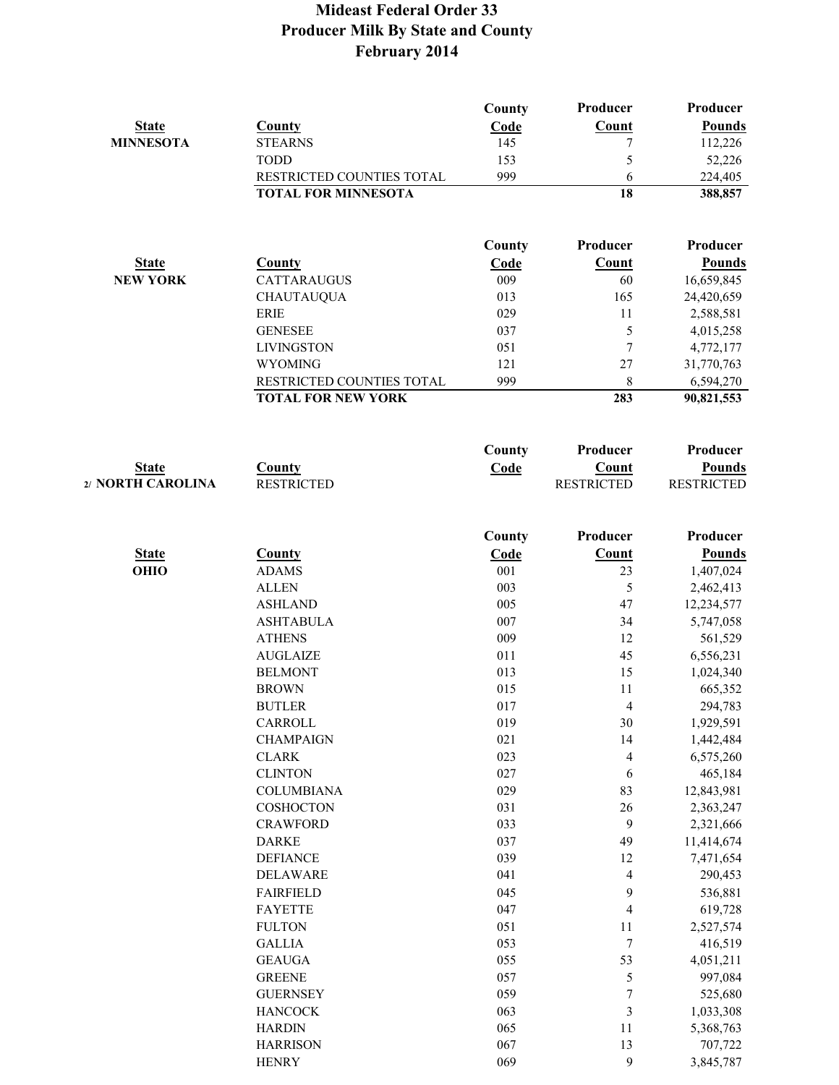| <b>State</b><br><b>MINNESOTA</b>  | <b>County</b><br><b>STEARNS</b>                        | County<br>Code<br>145 | Producer<br>Count          | Producer<br><b>Pounds</b>          |
|-----------------------------------|--------------------------------------------------------|-----------------------|----------------------------|------------------------------------|
|                                   | <b>TODD</b>                                            | 153                   | 7<br>5                     | 112,226<br>52,226                  |
|                                   | RESTRICTED COUNTIES TOTAL                              | 999                   | 6                          | 224,405                            |
|                                   | <b>TOTAL FOR MINNESOTA</b>                             |                       | 18                         | 388,857                            |
|                                   |                                                        | County                | Producer                   | Producer                           |
| <b>State</b>                      | <b>County</b>                                          | Code                  | Count                      | <b>Pounds</b>                      |
| <b>NEW YORK</b>                   | <b>CATTARAUGUS</b>                                     | 009                   | 60                         | 16,659,845                         |
|                                   | <b>CHAUTAUQUA</b>                                      | 013                   | 165                        | 24,420,659                         |
|                                   | <b>ERIE</b>                                            | 029                   | 11                         | 2,588,581                          |
|                                   | <b>GENESEE</b>                                         | 037                   | 5                          | 4,015,258                          |
|                                   | <b>LIVINGSTON</b>                                      | 051                   | $\overline{7}$             | 4,772,177                          |
|                                   | <b>WYOMING</b>                                         | 121<br>999            | 27                         | 31,770,763                         |
|                                   | RESTRICTED COUNTIES TOTAL<br><b>TOTAL FOR NEW YORK</b> |                       | 8<br>283                   | 6,594,270<br>90,821,553            |
|                                   |                                                        | County                | Producer                   | Producer                           |
|                                   |                                                        |                       |                            |                                    |
| <b>State</b><br>2/ NORTH CAROLINA | <b>County</b><br><b>RESTRICTED</b>                     | Code                  | Count<br><b>RESTRICTED</b> | <b>Pounds</b><br><b>RESTRICTED</b> |
|                                   |                                                        |                       |                            |                                    |
|                                   |                                                        | County                | Producer                   | Producer                           |
| <b>State</b>                      | <b>County</b>                                          | Code                  | <b>Count</b>               | <b>Pounds</b>                      |
| OHIO                              | <b>ADAMS</b>                                           | 001                   | 23                         | 1,407,024                          |
|                                   | <b>ALLEN</b>                                           | 003                   | 5                          | 2,462,413                          |
|                                   | <b>ASHLAND</b>                                         | 005                   | 47                         | 12,234,577                         |
|                                   | <b>ASHTABULA</b>                                       | 007<br>009            | 34<br>12                   | 5,747,058                          |
|                                   | <b>ATHENS</b><br><b>AUGLAIZE</b>                       | 011                   | 45                         | 561,529<br>6,556,231               |
|                                   | <b>BELMONT</b>                                         | 013                   | 15                         | 1,024,340                          |
|                                   | <b>BROWN</b>                                           | 015                   | 11                         | 665,352                            |
|                                   | <b>BUTLER</b>                                          | 017                   | 4                          | 294,783                            |
|                                   | CARROLL                                                | 019                   | 30                         | 1,929,591                          |
|                                   | <b>CHAMPAIGN</b>                                       | 021                   | 14                         | 1,442,484                          |
|                                   | <b>CLARK</b>                                           | 023                   | 4                          | 6,575,260                          |
|                                   | <b>CLINTON</b>                                         | 027                   | $\sqrt{6}$                 | 465,184                            |
|                                   | <b>COLUMBIANA</b>                                      | 029                   | 83                         | 12,843,981                         |
|                                   | COSHOCTON                                              | 031                   | $26\,$                     | 2,363,247                          |
|                                   | <b>CRAWFORD</b>                                        | 033                   | 9                          | 2,321,666                          |
|                                   | <b>DARKE</b>                                           | 037                   | 49                         | 11,414,674                         |
|                                   | <b>DEFIANCE</b>                                        | 039                   | 12                         | 7,471,654                          |
|                                   | <b>DELAWARE</b>                                        | 041                   | 4                          | 290,453                            |
|                                   | <b>FAIRFIELD</b>                                       | 045                   | 9                          | 536,881                            |
|                                   | <b>FAYETTE</b>                                         | 047                   | $\overline{\mathcal{L}}$   | 619,728                            |
|                                   | <b>FULTON</b>                                          | 051                   | 11                         | 2,527,574                          |
|                                   | <b>GALLIA</b>                                          | 053                   | $\boldsymbol{7}$           | 416,519                            |
|                                   | <b>GEAUGA</b>                                          | 055                   | 53                         | 4,051,211                          |
|                                   | <b>GREENE</b>                                          | 057                   | 5                          | 997,084                            |
|                                   | <b>GUERNSEY</b>                                        | 059                   | $\boldsymbol{7}$           | 525,680                            |
|                                   | <b>HANCOCK</b>                                         | 063                   | 3                          | 1,033,308                          |
|                                   | <b>HARDIN</b>                                          | 065                   | 11                         | 5,368,763                          |
|                                   | <b>HARRISON</b><br><b>HENRY</b>                        | 067<br>069            | 13<br>9                    | 707,722                            |
|                                   |                                                        |                       |                            | 3,845,787                          |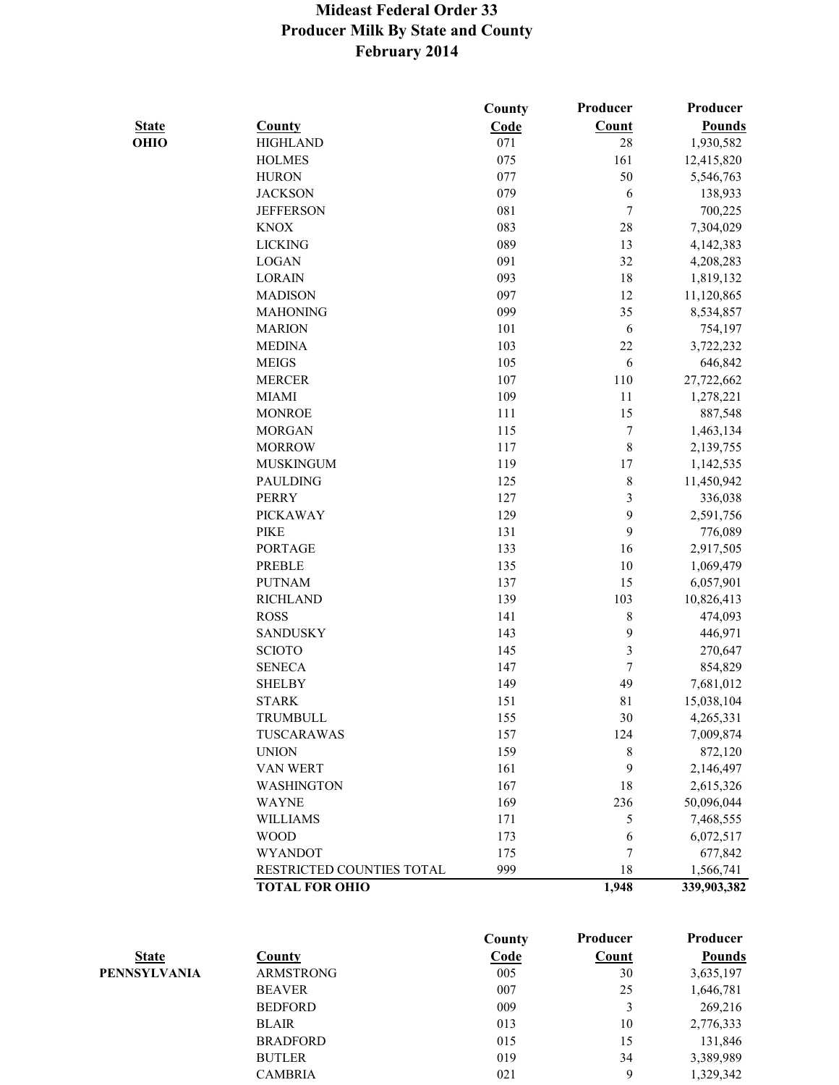|              |                           | County | Producer         | Producer      |
|--------------|---------------------------|--------|------------------|---------------|
| <b>State</b> | <b>County</b>             | Code   | Count            | <b>Pounds</b> |
| OHIO         | <b>HIGHLAND</b>           | 071    | 28               | 1,930,582     |
|              | <b>HOLMES</b>             | 075    | 161              | 12,415,820    |
|              | <b>HURON</b>              | 077    | 50               | 5,546,763     |
|              | <b>JACKSON</b>            | 079    | 6                | 138,933       |
|              | <b>JEFFERSON</b>          | 081    | 7                | 700,225       |
|              | <b>KNOX</b>               | 083    | 28               | 7,304,029     |
|              | <b>LICKING</b>            | 089    | 13               | 4,142,383     |
|              | <b>LOGAN</b>              | 091    | 32               | 4,208,283     |
|              | <b>LORAIN</b>             | 093    | 18               | 1,819,132     |
|              | <b>MADISON</b>            | 097    | 12               | 11,120,865    |
|              | <b>MAHONING</b>           | 099    | 35               | 8,534,857     |
|              | <b>MARION</b>             | 101    | 6                | 754,197       |
|              | <b>MEDINA</b>             | 103    | 22               | 3,722,232     |
|              | <b>MEIGS</b>              | 105    | 6                | 646,842       |
|              | <b>MERCER</b>             | 107    | 110              | 27,722,662    |
|              | <b>MIAMI</b>              | 109    | 11               | 1,278,221     |
|              | <b>MONROE</b>             | 111    | 15               | 887,548       |
|              | <b>MORGAN</b>             | 115    | $\boldsymbol{7}$ | 1,463,134     |
|              | <b>MORROW</b>             | 117    | $\,$ 8 $\,$      | 2,139,755     |
|              | <b>MUSKINGUM</b>          | 119    | 17               | 1,142,535     |
|              | <b>PAULDING</b>           | 125    | $\,$ $\,$        | 11,450,942    |
|              | <b>PERRY</b>              | 127    | $\mathfrak{Z}$   | 336,038       |
|              | <b>PICKAWAY</b>           | 129    | 9                | 2,591,756     |
|              | PIKE                      | 131    | 9                | 776,089       |
|              | <b>PORTAGE</b>            | 133    | 16               | 2,917,505     |
|              | PREBLE                    | 135    | 10               | 1,069,479     |
|              | <b>PUTNAM</b>             | 137    | 15               | 6,057,901     |
|              | <b>RICHLAND</b>           | 139    | 103              | 10,826,413    |
|              | <b>ROSS</b>               | 141    | 8                | 474,093       |
|              | <b>SANDUSKY</b>           | 143    | 9                | 446,971       |
|              | <b>SCIOTO</b>             | 145    | $\mathfrak{Z}$   | 270,647       |
|              | <b>SENECA</b>             | 147    | $\boldsymbol{7}$ | 854,829       |
|              | <b>SHELBY</b>             | 149    | 49               | 7,681,012     |
|              | <b>STARK</b>              | 151    | 81               | 15,038,104    |
|              | TRUMBULL                  | 155    | 30               | 4,265,331     |
|              | TUSCARAWAS                | 157    | 124              | 7,009,874     |
|              | <b>UNION</b>              | 159    | 8                | 872,120       |
|              | <b>VAN WERT</b>           | 161    | 9                | 2,146,497     |
|              | WASHINGTON                | 167    | 18               | 2,615,326     |
|              | <b>WAYNE</b>              | 169    | 236              | 50,096,044    |
|              | <b>WILLIAMS</b>           | 171    | 5                | 7,468,555     |
|              | <b>WOOD</b>               | 173    | 6                | 6,072,517     |
|              | <b>WYANDOT</b>            | 175    | 7                | 677,842       |
|              | RESTRICTED COUNTIES TOTAL | 999    | 18               | 1,566,741     |
|              | <b>TOTAL FOR OHIO</b>     |        | 1,948            | 339,903,382   |

|                     |                  | County | Producer     | Producer      |
|---------------------|------------------|--------|--------------|---------------|
| <b>State</b>        | County           | Code   | <b>Count</b> | <b>Pounds</b> |
| <b>PENNSYLVANIA</b> | <b>ARMSTRONG</b> | 005    | 30           | 3,635,197     |
|                     | <b>BEAVER</b>    | 007    | 25           | 1,646,781     |
|                     | <b>BEDFORD</b>   | 009    |              | 269,216       |
|                     | <b>BLAIR</b>     | 013    | 10           | 2,776,333     |
|                     | <b>BRADFORD</b>  | 015    | 15           | 131,846       |
|                     | <b>BUTLER</b>    | 019    | 34           | 3,389,989     |
|                     | <b>CAMBRIA</b>   | 021    | 9            | 1,329,342     |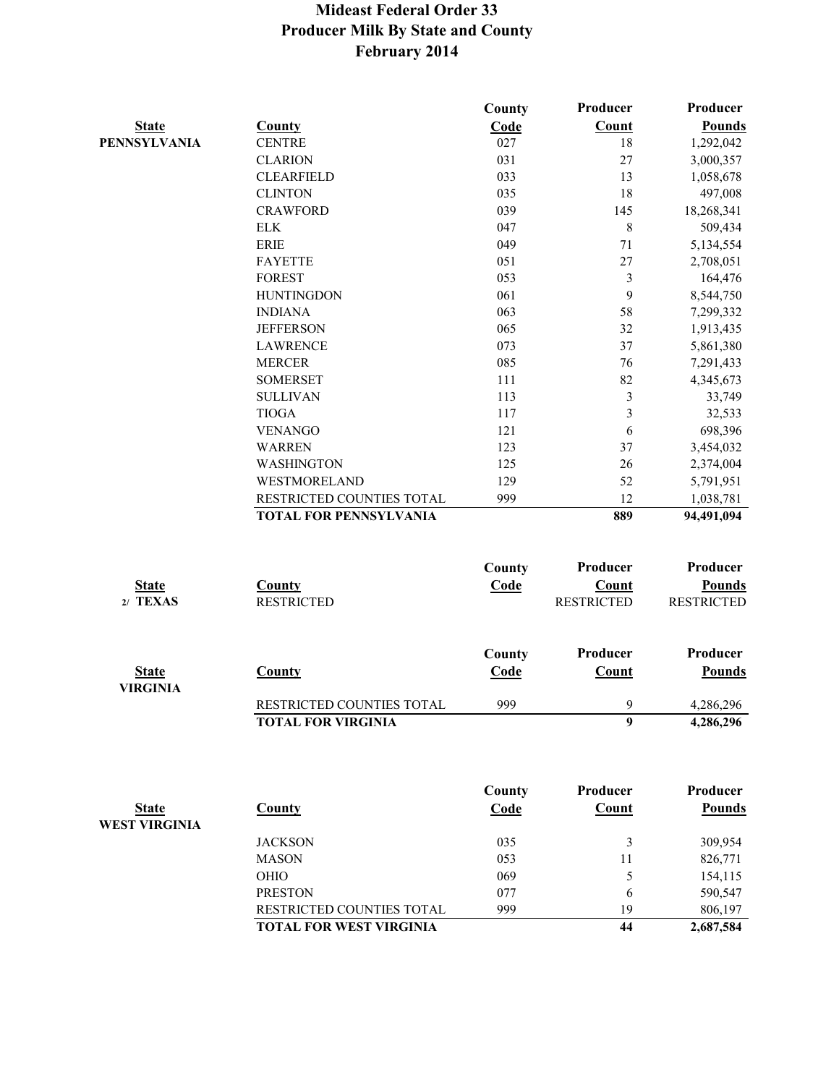|                                      |                                | County | Producer          | Producer          |
|--------------------------------------|--------------------------------|--------|-------------------|-------------------|
| <b>State</b>                         | <b>County</b>                  | Code   | Count             | <b>Pounds</b>     |
| <b>PENNSYLVANIA</b>                  | <b>CENTRE</b>                  | 027    | 18                | 1,292,042         |
|                                      | <b>CLARION</b>                 | 031    | 27                | 3,000,357         |
|                                      | <b>CLEARFIELD</b>              | 033    | 13                | 1,058,678         |
|                                      | <b>CLINTON</b>                 | 035    | 18                | 497,008           |
|                                      | <b>CRAWFORD</b>                | 039    | 145               | 18,268,341        |
|                                      | <b>ELK</b>                     | 047    | $\,8\,$           | 509,434           |
|                                      | <b>ERIE</b>                    | 049    | 71                | 5,134,554         |
|                                      | <b>FAYETTE</b>                 | 051    | 27                | 2,708,051         |
|                                      | <b>FOREST</b>                  | 053    | 3                 | 164,476           |
|                                      | <b>HUNTINGDON</b>              | 061    | 9                 | 8,544,750         |
|                                      | <b>INDIANA</b>                 | 063    | 58                | 7,299,332         |
|                                      | <b>JEFFERSON</b>               | 065    | 32                | 1,913,435         |
|                                      | <b>LAWRENCE</b>                | 073    | 37                | 5,861,380         |
|                                      | <b>MERCER</b>                  | 085    | 76                | 7,291,433         |
|                                      | <b>SOMERSET</b>                | 111    | 82                | 4,345,673         |
|                                      | <b>SULLIVAN</b>                | 113    | 3                 | 33,749            |
|                                      | <b>TIOGA</b>                   | 117    | 3                 | 32,533            |
|                                      | <b>VENANGO</b>                 | 121    | 6                 | 698,396           |
|                                      | <b>WARREN</b>                  | 123    | 37                | 3,454,032         |
|                                      | <b>WASHINGTON</b>              | 125    | 26                | 2,374,004         |
|                                      | WESTMORELAND                   | 129    | 52                | 5,791,951         |
|                                      | RESTRICTED COUNTIES TOTAL      | 999    | 12                | 1,038,781         |
|                                      | <b>TOTAL FOR PENNSYLVANIA</b>  |        | 889               | 94,491,094        |
|                                      |                                | County | Producer          | Producer          |
| <b>State</b>                         | <b>County</b>                  | Code   | <b>Count</b>      | <b>Pounds</b>     |
| 2/ TEXAS                             | <b>RESTRICTED</b>              |        | <b>RESTRICTED</b> | <b>RESTRICTED</b> |
|                                      |                                | County | Producer          | Producer          |
| <b>State</b>                         | <b>County</b>                  | Code   | Count             | <b>Pounds</b>     |
| <b>VIRGINIA</b>                      |                                |        |                   |                   |
|                                      | RESTRICTED COUNTIES TOTAL      | 999    | 9                 | 4,286,296         |
|                                      | <b>TOTAL FOR VIRGINIA</b>      |        | 9                 | 4,286,296         |
|                                      |                                |        | Producer          |                   |
|                                      |                                | County |                   | Producer          |
| <b>State</b><br><b>WEST VIRGINIA</b> | <b>County</b>                  | Code   | Count             | <b>Pounds</b>     |
|                                      | <b>JACKSON</b>                 | 035    | 3                 | 309,954           |
|                                      | <b>MASON</b>                   | 053    | 11                | 826,771           |
|                                      | <b>OHIO</b>                    | 069    | 5                 | 154,115           |
|                                      | <b>PRESTON</b>                 | 077    | 6                 | 590,547           |
|                                      | RESTRICTED COUNTIES TOTAL      | 999    | 19                | 806,197           |
|                                      | <b>TOTAL FOR WEST VIRGINIA</b> |        | 44                | 2,687,584         |